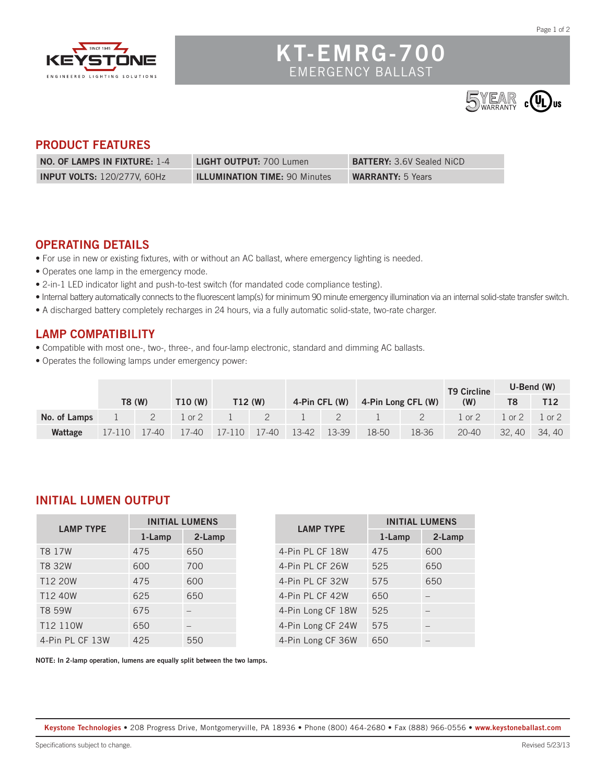

# **KT-EMRG-700** EMERGENCY BALLAST



#### **PRODUCT FEATURES**

| NO. OF LAMPS IN FIXTURE: 1-4       | <b>LIGHT OUTPUT: 700 Lumen</b>       | <b>BATTERY:</b> 3.6V Sealed NiCD |
|------------------------------------|--------------------------------------|----------------------------------|
| <b>INPUT VOLTS: 120/277V, 60Hz</b> | <b>ILLUMINATION TIME: 90 Minutes</b> | <b>WARRANTY: 5 Years</b>         |

#### **OPERATING DETAILS**

- For use in new or existing fixtures, with or without an AC ballast, where emergency lighting is needed.
- Operates one lamp in the emergency mode.
- 2-in-1 LED indicator light and push-to-test switch (for mandated code compliance testing).
- Internal battery automatically connects to the fluorescent lamp(s) for minimum 90 minute emergency illumination via an internal solid-state transfer switch.
- A discharged battery completely recharges in 24 hours, via a fully automatic solid-state, two-rate charger.

### **LAMP COMPATIBILITY**

- Compatible with most one-, two-, three-, and four-lamp electronic, standard and dimming AC ballasts.
- Operates the following lamps under emergency power:

|              |                |                |         |  |  |                                  |       | <b>T9 Circline</b>                      | $U-Bend$ (W) |          |
|--------------|----------------|----------------|---------|--|--|----------------------------------|-------|-----------------------------------------|--------------|----------|
|              | <b>T8 (W)</b>  | <b>T10 (W)</b> | T12 (W) |  |  | 4-Pin CFL (W) 4-Pin Long CFL (W) |       | (W)                                     |              |          |
| No. of Lamps |                |                |         |  |  | 1 2 1 0 2 1 2 1 2 1 2 2 2        |       | $1 \text{ or } 2 \quad 1 \text{ or } 2$ |              | $1$ or 2 |
| Wattage      | $17-110$ 17-40 |                |         |  |  | 18-50                            | 18-36 | 20-40                                   | 32.40        | 34.40    |

#### **INITIAL LUMEN OUTPUT**

| <b>LAMP TYPE</b>     | <b>INITIAL LUMENS</b> |        |  |  |
|----------------------|-----------------------|--------|--|--|
|                      | 1-Lamp                | 2-Lamp |  |  |
| T8 17W               | 475                   | 650    |  |  |
| T8 32W               | 600                   | 700    |  |  |
| T12 20W              | 475                   | 600    |  |  |
| T12 40W              | 625                   | 650    |  |  |
| T8 59W               | 675                   |        |  |  |
| T <sub>12</sub> 110W | 650                   |        |  |  |
| 4-Pin PL CF 13W      | 425                   | 550    |  |  |

| <b>LAMP TYPE</b>  | <b>INITIAL LUMENS</b> |        |  |  |
|-------------------|-----------------------|--------|--|--|
|                   | 1-Lamp                | 2-Lamp |  |  |
| 4-Pin PL CF 18W   | 475                   | 600    |  |  |
| 4-Pin PL CF 26W   | 525                   | 650    |  |  |
| 4-Pin PL CF 32W   | 575                   | 650    |  |  |
| 4-Pin PL CF 42W   | 650                   |        |  |  |
| 4-Pin Long CF 18W | 525                   |        |  |  |
| 4-Pin Long CF 24W | 575                   |        |  |  |
| 4-Pin Long CF 36W | 650                   |        |  |  |

**NOTE: In 2-lamp operation, lumens are equally split between the two lamps.**

**Keystone Technologies •** 208 Progress Drive, Montgomeryville, PA 18936 **•** Phone (800) 464-2680 **•** Fax (888) 966-0556 **• www.keystoneballast.com**